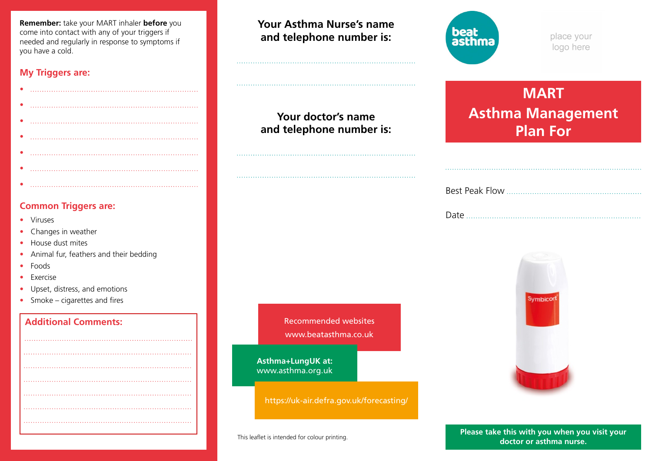**Remember:** take your MART inhaler **before** you come into contact with any of your triggers if needed and regularly in response to symptoms if you have a cold.

### **My Triggers are:**

## **Common Triggers are:**

- Viruses
- Changes in weather
- House dust mites
- Animal fur, feathers and their bedding
- Foods
- Exercise
- Upset, distress, and emotions
- Smoke cigarettes and fires

# **Additional Comments:** Additional Comments: Recommended websites

**Your Asthma Nurse's name and telephone number is:**

**Your doctor's name and telephone number is:**



place your logo here

# **MART Asthma Management Plan For**

**Symbicor** 

www.beatasthma.co.uk

**Asthma+LungUK at:** www.asthma.org.uk

https://uk-air.defra.gov.uk/forecasting/

This leaflet is intended for colour printing. **Please take this with you when you visit your doctor or asthma nurse.**